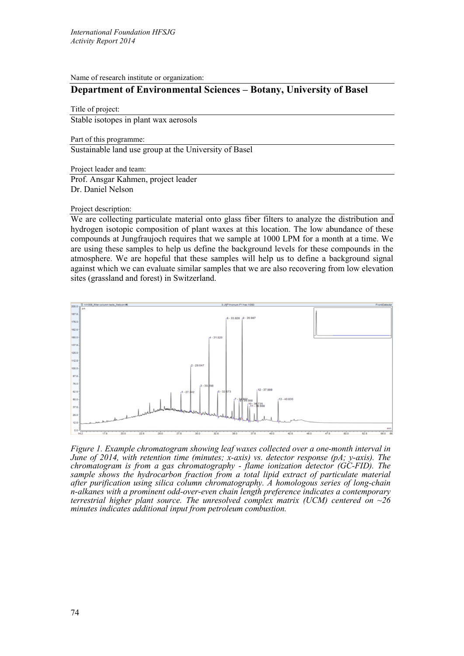Name of research institute or organization:

## **Department of Environmental Sciences – Botany, University of Basel**

Title of project: Stable isotopes in plant wax aerosols

Part of this programme:

Sustainable land use group at the University of Basel

Project leader and team:

Prof. Ansgar Kahmen, project leader Dr. Daniel Nelson

## Project description:

We are collecting particulate material onto glass fiber filters to analyze the distribution and hydrogen isotopic composition of plant waxes at this location. The low abundance of these compounds at Jungfraujoch requires that we sample at 1000 LPM for a month at a time. We are using these samples to help us define the background levels for these compounds in the atmosphere. We are hopeful that these samples will help us to define a background signal against which we can evaluate similar samples that we are also recovering from low elevation sites (grassland and forest) in Switzerland.



*Figure 1. Example chromatogram showing leaf waxes collected over a one-month interval in June of 2014, with retention time (minutes; x-axis) vs. detector response (pA; y-axis). The chromatogram is from a gas chromatography - flame ionization detector (GC-FID). The sample shows the hydrocarbon fraction from a total lipid extract of particulate material after purification using silica column chromatography. A homologous series of long-chain n-alkanes with a prominent odd-over-even chain length preference indicates a contemporary terrestrial higher plant source. The unresolved complex matrix (UCM) centered on ~26 minutes indicates additional input from petroleum combustion.*